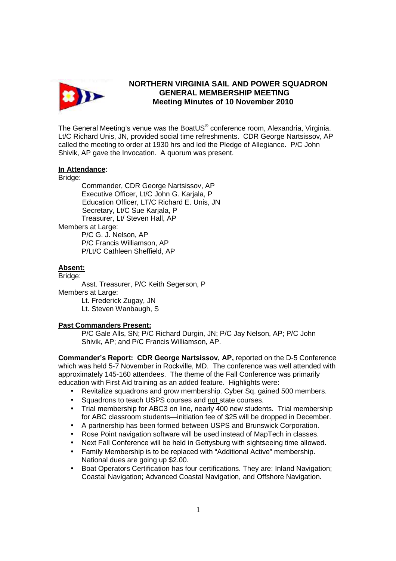

## **NORTHERN VIRGINIA SAIL AND POWER SQUADRON GENERAL MEMBERSHIP MEETING Meeting Minutes of 10 November 2010**

The General Meeting's venue was the BoatUS $^{\circ}$  conference room, Alexandria, Virginia. Lt/C Richard Unis, JN, provided social time refreshments. CDR George Nartsissov, AP called the meeting to order at 1930 hrs and led the Pledge of Allegiance. P/C John Shivik, AP gave the Invocation. A quorum was present.

## **In Attendance**:

Bridge:

 Commander, CDR George Nartsissov, AP Executive Officer, Lt/C John G. Karjala, P Education Officer, LT/C Richard E. Unis, JN Secretary, Lt/C Sue Karjala, P Treasurer, Lt/ Steven Hall, AP

Members at Large:

P/C G. J. Nelson, AP P/C Francis Williamson, AP P/Lt/C Cathleen Sheffield, AP

## **Absent:**

Bridge:

Asst. Treasurer, P/C Keith Segerson, P Members at Large:

 Lt. Frederick Zugay, JN Lt. Steven Wanbaugh, S

## **Past Commanders Present:**

P/C Gale Alls, SN; P/C Richard Durgin, JN; P/C Jay Nelson, AP; P/C John Shivik, AP; and P/C Francis Williamson, AP.

**Commander's Report: CDR George Nartsissov, AP,** reported on the D-5 Conference which was held 5-7 November in Rockville, MD. The conference was well attended with approximately 145-160 attendees. The theme of the Fall Conference was primarily education with First Aid training as an added feature. Highlights were:

- Revitalize squadrons and grow membership. Cyber Sq. gained 500 members.
- Squadrons to teach USPS courses and not state courses.
- Trial membership for ABC3 on line, nearly 400 new students. Trial membership for ABC classroom students—initiation fee of \$25 will be dropped in December.
- A partnership has been formed between USPS and Brunswick Corporation.
- Rose Point navigation software will be used instead of MapTech in classes.
- Next Fall Conference will be held in Gettysburg with sightseeing time allowed.
- Family Membership is to be replaced with "Additional Active" membership. National dues are going up \$2.00.
- Boat Operators Certification has four certifications. They are: Inland Navigation; Coastal Navigation; Advanced Coastal Navigation, and Offshore Navigation.